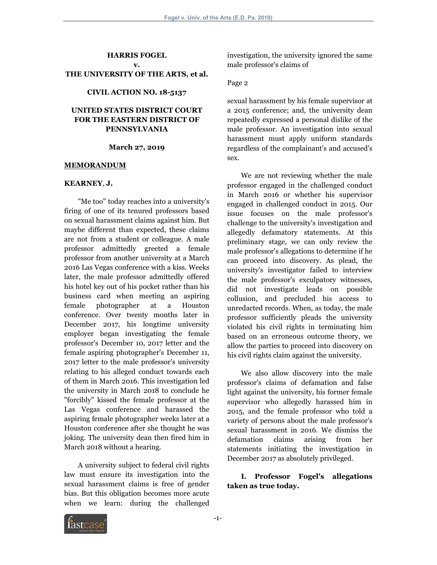#### **HARRIS FOGEL v.**

#### **THE UNIVERSITY OF THE ARTS, et al.**

#### **CIVIL ACTION NO. 18-5137**

## **UNITED STATES DISTRICT COURT FOR THE EASTERN DISTRICT OF PENNSYLVANIA**

#### **March 27, 2019**

#### **MEMORANDUM**

#### **KEARNEY**, **J.**

"Me too" today reaches into a university's firing of one of its tenured professors based on sexual harassment claims against him. But maybe different than expected, these claims are not from a student or colleague. A male professor admittedly greeted a female professor from another university at a March 2016 Las Vegas conference with a kiss. Weeks later, the male professor admittedly offered his hotel key out of his pocket rather than his business card when meeting an aspiring female photographer at a Houston conference. Over twenty months later in December 2017, his longtime university employer began investigating the female professor's December 10, 2017 letter and the female aspiring photographer's December 11, 2017 letter to the male professor's university relating to his alleged conduct towards each of them in March 2016. This investigation led the university in March 2018 to conclude he "forcibly" kissed the female professor at the Las Vegas conference and harassed the aspiring female photographer weeks later at a Houston conference after she thought he was joking. The university dean then fired him in March 2018 without a hearing.

A university subject to federal civil rights law must ensure its investigation into the sexual harassment claims is free of gender bias. But this obligation becomes more acute when we learn: during the challenged investigation, the university ignored the same male professor's claims of

#### Page 2

sexual harassment by his female supervisor at a 2015 conference; and, the university dean repeatedly expressed a personal dislike of the male professor. An investigation into sexual harassment must apply uniform standards regardless of the complainant's and accused's sex.

We are not reviewing whether the male professor engaged in the challenged conduct in March 2016 or whether his supervisor engaged in challenged conduct in 2015. Our issue focuses on the male professor's challenge to the university's investigation and allegedly defamatory statements. At this preliminary stage, we can only review the male professor's allegations to determine if he can proceed into discovery. As plead, the university's investigator failed to interview the male professor's exculpatory witnesses, did not investigate leads on possible collusion, and precluded his access to unredacted records. When, as today, the male professor sufficiently pleads the university violated his civil rights in terminating him based on an erroneous outcome theory, we allow the parties to proceed into discovery on his civil rights claim against the university.

We also allow discovery into the male professor's claims of defamation and false light against the university, his former female supervisor who allegedly harassed him in 2015, and the female professor who told a variety of persons about the male professor's sexual harassment in 2016. We dismiss the defamation claims arising from her statements initiating the investigation in December 2017 as absolutely privileged.

**I. Professor Fogel's allegations taken as true today.**

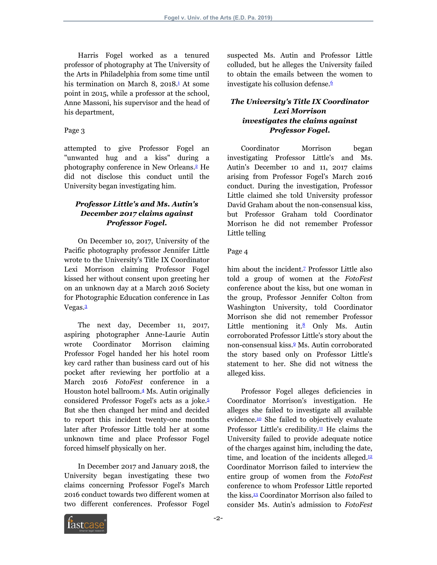Harris Fogel worked as a tenured professor of photography at The University of the Arts in Philadelphia from some time until his termination on March 8,  $2018<sup>1</sup>$  $2018<sup>1</sup>$  $2018<sup>1</sup>$  At some point in 2015, while a professor at the school, Anne Massoni, his supervisor and the head of his department,

#### Page 3

attempted to give Professor Fogel an "unwanted hug and a kiss" during a photography conference in New Orleans.[2](#page-11-1) He did not disclose this conduct until the University began investigating him.

## *Professor Little's and Ms***.** *Autin's December 2017 claims against Professor Fogel***.**

On December 10, 2017, University of the Pacific photography professor Jennifer Little wrote to the University's Title IX Coordinator Lexi Morrison claiming Professor Fogel kissed her without consent upon greeting her on an unknown day at a March 2016 Society for Photographic Education conference in Las Vegas.[3](#page-11-2)

<span id="page-1-2"></span>The next day, December 11, 2017, aspiring photographer Anne-Laurie Autin wrote Coordinator Morrison claiming Professor Fogel handed her his hotel room key card rather than business card out of his pocket after reviewing her portfolio at a March 2016 *FotoFest* conference in a Houston hotel ballroom.[4](#page-11-3) Ms. Autin originally considered Professor Fogel's acts as a joke.[5](#page-11-4) But she then changed her mind and decided to report this incident twenty-one months later after Professor Little told her at some unknown time and place Professor Fogel forced himself physically on her.

In December 2017 and January 2018, the University began investigating these two claims concerning Professor Fogel's March 2016 conduct towards two different women at two different conferences. Professor Fogel suspected Ms. Autin and Professor Little colluded, but he alleges the University failed to obtain the emails between the women to investigate his collusion defense.<sup>[6](#page-11-5)</sup>

## <span id="page-1-5"></span><span id="page-1-0"></span>*The University's Title IX Coordinator Lexi Morrison investigates the claims against Professor Fogel***.**

<span id="page-1-1"></span>Coordinator Morrison began investigating Professor Little's and Ms. Autin's December 10 and 11, 2017 claims arising from Professor Fogel's March 2016 conduct. During the investigation, Professor Little claimed she told University professor David Graham about the non-consensual kiss, but Professor Graham told Coordinator Morrison he did not remember Professor Little telling

#### Page 4

<span id="page-1-7"></span><span id="page-1-6"></span>him about the incident.<sup>[7](#page-11-6)</sup> Professor Little also told a group of women at the *FotoFest* conference about the kiss, but one woman in the group, Professor Jennifer Colton from Washington University, told Coordinator Morrison she did not remember Professor Little mentioning it. $\frac{8}{5}$  $\frac{8}{5}$  $\frac{8}{5}$  Only Ms. Autin corroborated Professor Little's story about the non-consensual kiss.[9](#page-11-8) Ms. Autin corroborated the story based only on Professor Little's statement to her. She did not witness the alleged kiss.

<span id="page-1-12"></span><span id="page-1-11"></span><span id="page-1-10"></span><span id="page-1-9"></span><span id="page-1-8"></span><span id="page-1-4"></span><span id="page-1-3"></span>Professor Fogel alleges deficiencies in Coordinator Morrison's investigation. He alleges she failed to investigate all available evidence.[10](#page-11-9) She failed to objectively evaluate Professor Little's credibility. $\frac{11}{1}$  $\frac{11}{1}$  $\frac{11}{1}$  He claims the University failed to provide adequate notice of the charges against him, including the date, time, and location of the incidents alleged. $12$ Coordinator Morrison failed to interview the entire group of women from the *FotoFest* conference to whom Professor Little reported the kiss.[13](#page-11-12) Coordinator Morrison also failed to consider Ms. Autin's admission to *FotoFest*

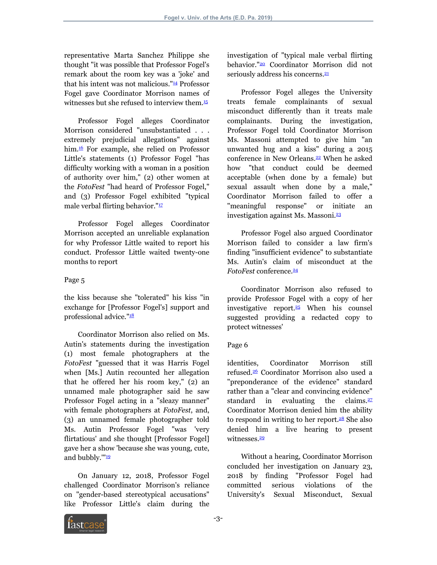representative Marta Sanchez Philippe she thought "it was possible that Professor Fogel's remark about the room key was a 'joke' and that his intent was not malicious."<sup>[14](#page-11-13)</sup> Professor Fogel gave Coordinator Morrison names of witnesses but she refused to interview them.<sup>[15](#page-11-14)</sup>

<span id="page-2-2"></span>Professor Fogel alleges Coordinator Morrison considered "unsubstantiated . . . extremely prejudicial allegations" against him.<sup>[16](#page-11-15)</sup> For example, she relied on Professor Little's statements (1) Professor Fogel "has difficulty working with a woman in a position of authority over him," (2) other women at the *FotoFest* "had heard of Professor Fogel," and (3) Professor Fogel exhibited "typical male verbal flirting behavior."<sup>[17](#page-11-16)</sup>

Professor Fogel alleges Coordinator Morrison accepted an unreliable explanation for why Professor Little waited to report his conduct. Professor Little waited twenty-one months to report

## Page 5

the kiss because she "tolerated" his kiss "in exchange for [Professor Fogel's] support and professional advice."<sup>[18](#page-11-17)</sup>

<span id="page-2-4"></span>Coordinator Morrison also relied on Ms. Autin's statements during the investigation (1) most female photographers at the *FotoFest* "guessed that it was Harris Fogel when [Ms.] Autin recounted her allegation that he offered her his room key," (2) an unnamed male photographer said he saw Professor Fogel acting in a "sleazy manner" with female photographers at *FotoFest*, and, (3) an unnamed female photographer told Ms. Autin Professor Fogel "was 'very flirtatious' and she thought [Professor Fogel] gave her a show 'because she was young, cute, and bubbly.""<sup>[19](#page-11-18)</sup>

<span id="page-2-5"></span>On January 12, 2018, Professor Fogel challenged Coordinator Morrison's reliance on "gender-based stereotypical accusations" like Professor Little's claim during the

<span id="page-2-6"></span>investigation of "typical male verbal flirting behavior."[20](#page-11-19) Coordinator Morrison did not seriously address his concerns.<sup>[21](#page-11-20)</sup>

<span id="page-2-8"></span><span id="page-2-7"></span><span id="page-2-1"></span><span id="page-2-0"></span>Professor Fogel alleges the University treats female complainants of sexual misconduct differently than it treats male complainants. During the investigation, Professor Fogel told Coordinator Morrison Ms. Massoni attempted to give him "an unwanted hug and a kiss" during a 2015 conference in New Orleans.<sup>[22](#page-11-21)</sup> When he asked how "that conduct could be deemed acceptable (when done by a female) but sexual assault when done by a male," Coordinator Morrison failed to offer a "meaningful response" or initiate an investigation against Ms. Massoni.[23](#page-11-22)

<span id="page-2-9"></span><span id="page-2-3"></span>Professor Fogel also argued Coordinator Morrison failed to consider a law firm's finding "insufficient evidence" to substantiate Ms. Autin's claim of misconduct at the *FotoFest* conference.<sup>[24](#page-11-23)</sup>

<span id="page-2-11"></span><span id="page-2-10"></span>Coordinator Morrison also refused to provide Professor Fogel with a copy of her investigative report.[25](#page-11-24) When his counsel suggested providing a redacted copy to protect witnesses'

### Page 6

<span id="page-2-13"></span><span id="page-2-12"></span>identities, Coordinator Morrison still refused.[26](#page-11-25) Coordinator Morrison also used a "preponderance of the evidence" standard rather than a "clear and convincing evidence" standard in evaluating the claims. $27$ Coordinator Morrison denied him the ability to respond in writing to her report. $28$  She also denied him a live hearing to present witnesses<sup>[29](#page-11-28)</sup>

<span id="page-2-15"></span><span id="page-2-14"></span>Without a hearing, Coordinator Morrison concluded her investigation on January 23, 2018 by finding "Professor Fogel had committed serious violations of the University's Sexual Misconduct, Sexual

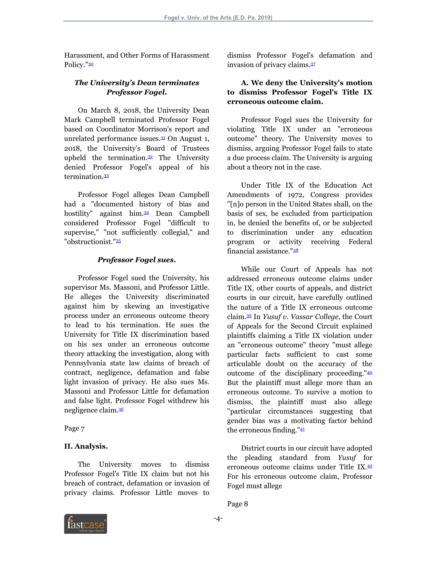Harassment, and Other Forms of Harassment Policy."<sup>[30](#page-11-29)</sup>

## <span id="page-3-0"></span>*The University's Dean terminates Professor Fogel***.**

On March 8, 2018, the University Dean Mark Campbell terminated Professor Fogel based on Coordinator Morrison's report and unrelated performance issues. $31$  On August 1, 2018, the University's Board of Trustees upheld the termination. $32$  The University denied Professor Fogel's appeal of his termination.<sup>[33](#page-12-0)</sup>

<span id="page-3-3"></span>Professor Fogel alleges Dean Campbell had a "documented history of bias and hostility" against him.[34](#page-12-1) Dean Campbell considered Professor Fogel "difficult to supervise," "not sufficiently collegial," and "obstructionist."[35](#page-12-2)

## <span id="page-3-5"></span><span id="page-3-4"></span>*Professor Fogel sues***.**

Professor Fogel sued the University, his supervisor Ms. Massoni, and Professor Little. He alleges the University discriminated against him by skewing an investigative process under an erroneous outcome theory to lead to his termination. He sues the University for Title IX discrimination based on his sex under an erroneous outcome theory attacking the investigation, along with Pennsylvania state law claims of breach of contract, negligence, defamation and false light invasion of privacy. He also sues Ms. Massoni and Professor Little for defamation and false light. Professor Fogel withdrew his negligence claim.[36](#page-12-3)

<span id="page-3-6"></span>Page 7

# **II. Analysis.**

The University moves to dismiss Professor Fogel's Title IX claim but not his breach of contract, defamation or invasion of privacy claims. Professor Little moves to

<span id="page-3-7"></span>dismiss Professor Fogel's defamation and invasion of privacy claims.[37](#page-12-4)

# **A. We deny the University's motion to dismiss Professor Fogel's Title IX erroneous outcome claim.**

<span id="page-3-1"></span>Professor Fogel sues the University for violating Title IX under an "erroneous outcome" theory. The University moves to dismiss, arguing Professor Fogel fails to state a due process claim. The University is arguing about a theory not in the case.

<span id="page-3-2"></span>Under Title IX of the Education Act Amendments of 1972, Congress provides "[n]o person in the United States shall, on the basis of sex, be excluded from participation in, be denied the benefits of, or be subjected to discrimination under any education program or activity receiving Federal financial assistance."[38](#page-12-5)

<span id="page-3-9"></span><span id="page-3-8"></span>While our Court of Appeals has not addressed erroneous outcome claims under Title IX, other courts of appeals, and district courts in our circuit, have carefully outlined the nature of a Title IX erroneous outcome claim.[39](#page-12-6) In *Yusuf v*. *Vassar College*, the Court of Appeals for the Second Circuit explained plaintiffs claiming a Title IX violation under an "erroneous outcome" theory "must allege particular facts sufficient to cast some articulable doubt on the accuracy of the outcome of the disciplinary proceeding."[40](#page-12-7) But the plaintiff must allege more than an erroneous outcome. To survive a motion to dismiss, the plaintiff must also allege "particular circumstances suggesting that gender bias was a motivating factor behind the erroneous finding."[41](#page-12-8)

<span id="page-3-12"></span><span id="page-3-11"></span><span id="page-3-10"></span>District courts in our circuit have adopted the pleading standard from *Yusuf* for erroneous outcome claims under Title IX.[42](#page-12-9) For his erroneous outcome claim, Professor Fogel must allege

Page 8

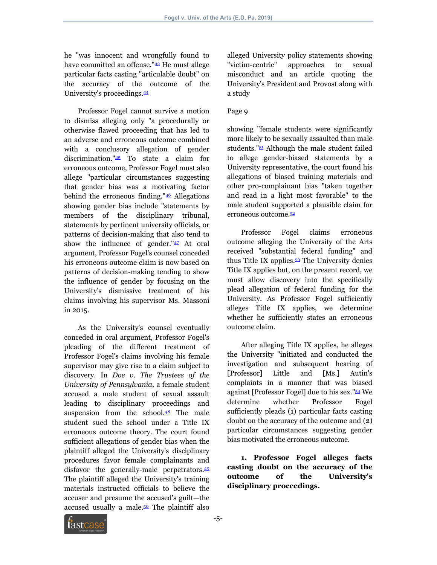he "was innocent and wrongfully found to have committed an offense."<sup>[43](#page-12-10)</sup> He must allege particular facts casting "articulable doubt" on the accuracy of the outcome of the University's proceedings.[44](#page-12-11)

<span id="page-4-2"></span><span id="page-4-1"></span>Professor Fogel cannot survive a motion to dismiss alleging only "a procedurally or otherwise flawed proceeding that has led to an adverse and erroneous outcome combined with a conclusory allegation of gender discrimination."[45](#page-12-12) To state a claim for erroneous outcome, Professor Fogel must also allege "particular circumstances suggesting that gender bias was a motivating factor behind the erroneous finding."[46](#page-12-13) Allegations showing gender bias include "statements by members of the disciplinary tribunal, statements by pertinent university officials, or patterns of decision-making that also tend to show the influence of gender." $47$  At oral argument, Professor Fogel's counsel conceded his erroneous outcome claim is now based on patterns of decision-making tending to show the influence of gender by focusing on the University's dismissive treatment of his claims involving his supervisor Ms. Massoni in 2015.

As the University's counsel eventually conceded in oral argument, Professor Fogel's pleading of the different treatment of Professor Fogel's claims involving his female supervisor may give rise to a claim subject to discovery. In *Doe v*. *The Trustees of the University of Pennsylvania*, a female student accused a male student of sexual assault leading to disciplinary proceedings and suspension from the school. $48$  The male student sued the school under a Title IX erroneous outcome theory. The court found sufficient allegations of gender bias when the plaintiff alleged the University's disciplinary procedures favor female complainants and disfavor the generally-male perpetrators.<sup>[49](#page-12-16)</sup> The plaintiff alleged the University's training materials instructed officials to believe the accuser and presume the accused's guilt—the accused usually a male. $50$  The plaintiff also

<span id="page-4-0"></span>alleged University policy statements showing "victim-centric" approaches to sexual misconduct and an article quoting the University's President and Provost along with a study

## Page 9

<span id="page-4-8"></span>showing "female students were significantly more likely to be sexually assaulted than male students."[51](#page-12-18) Although the male student failed to allege gender-biased statements by a University representative, the court found his allegations of biased training materials and other pro-complainant bias "taken together and read in a light most favorable" to the male student supported a plausible claim for erroneous outcome.[52](#page-12-19)

<span id="page-4-10"></span><span id="page-4-9"></span><span id="page-4-4"></span><span id="page-4-3"></span>Professor Fogel claims erroneous outcome alleging the University of the Arts received "substantial federal funding" and thus Title IX applies.<sup>[53](#page-12-20)</sup> The University denies Title IX applies but, on the present record, we must allow discovery into the specifically plead allegation of federal funding for the University. As Professor Fogel sufficiently alleges Title IX applies, we determine whether he sufficiently states an erroneous outcome claim.

<span id="page-4-11"></span>After alleging Title IX applies, he alleges the University "initiated and conducted the investigation and subsequent hearing of [Professor] Little and [Ms.] Autin's complaints in a manner that was biased against [Professor Fogel] due to his sex."[54](#page-12-21) We determine whether Professor Fogel sufficiently pleads (1) particular facts casting doubt on the accuracy of the outcome and (2) particular circumstances suggesting gender bias motivated the erroneous outcome.

<span id="page-4-6"></span><span id="page-4-5"></span>**1. Professor Fogel alleges facts casting doubt on the accuracy of the outcome of the University's disciplinary proceedings.**

<span id="page-4-7"></span>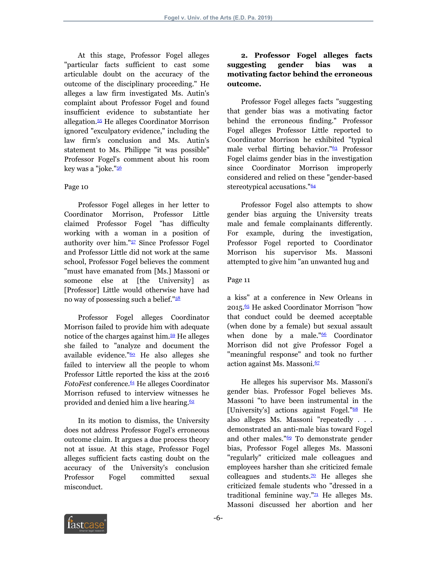At this stage, Professor Fogel alleges "particular facts sufficient to cast some articulable doubt on the accuracy of the outcome of the disciplinary proceeding." He alleges a law firm investigated Ms. Autin's complaint about Professor Fogel and found insufficient evidence to substantiate her allegation.[55](#page-12-22) He alleges Coordinator Morrison ignored "exculpatory evidence," including the law firm's conclusion and Ms. Autin's statement to Ms. Philippe "it was possible" Professor Fogel's comment about his room key was a "joke."<sup>[56](#page-12-23)</sup>

#### <span id="page-5-1"></span><span id="page-5-0"></span>Page 10

<span id="page-5-2"></span>Professor Fogel alleges in her letter to Coordinator Morrison, Professor Little claimed Professor Fogel "has difficulty working with a woman in a position of authority over him."[57](#page-12-24) Since Professor Fogel and Professor Little did not work at the same school, Professor Fogel believes the comment "must have emanated from [Ms.] Massoni or someone else at [the University] as [Professor] Little would otherwise have had no way of possessing such a belief."[58](#page-12-25)

<span id="page-5-5"></span>Professor Fogel alleges Coordinator Morrison failed to provide him with adequate notice of the charges against him.[59](#page-12-26) He alleges she failed to "analyze and document the available evidence." $60$  He also alleges she failed to interview all the people to whom Professor Little reported the kiss at the 2016 *FotoFest* conference.<sup>[61](#page-12-28)</sup> He alleges Coordinator Morrison refused to interview witnesses he provided and denied him a live hearing. $62$ 

<span id="page-5-6"></span>In its motion to dismiss, the University does not address Professor Fogel's erroneous outcome claim. It argues a due process theory not at issue. At this stage, Professor Fogel alleges sufficient facts casting doubt on the accuracy of the University's conclusion Professor Fogel committed sexual misconduct.

# **2. Professor Fogel alleges facts suggesting gender bias was a motivating factor behind the erroneous outcome.**

<span id="page-5-8"></span>Professor Fogel alleges facts "suggesting that gender bias was a motivating factor behind the erroneous finding." Professor Fogel alleges Professor Little reported to Coordinator Morrison he exhibited "typical male verbal flirting behavior."[63](#page-12-30) Professor Fogel claims gender bias in the investigation since Coordinator Morrison improperly considered and relied on these "gender-based stereotypical accusations."<sup>[64](#page-13-0)</sup>

<span id="page-5-9"></span>Professor Fogel also attempts to show gender bias arguing the University treats male and female complainants differently. For example, during the investigation, Professor Fogel reported to Coordinator Morrison his supervisor Ms. Massoni attempted to give him "an unwanted hug and

#### Page 11

<span id="page-5-11"></span><span id="page-5-10"></span><span id="page-5-4"></span><span id="page-5-3"></span>a kiss" at a conference in New Orleans in 2015.[65](#page-13-1) He asked Coordinator Morrison "how that conduct could be deemed acceptable (when done by a female) but sexual assault when done by a male."<sup>[66](#page-13-2)</sup> Coordinator Morrison did not give Professor Fogel a "meaningful response" and took no further action against Ms. Massoni. $67$ 

<span id="page-5-16"></span><span id="page-5-15"></span><span id="page-5-14"></span><span id="page-5-13"></span><span id="page-5-12"></span><span id="page-5-7"></span>He alleges his supervisor Ms. Massoni's gender bias. Professor Fogel believes Ms. Massoni "to have been instrumental in the [University's] actions against Fogel."<sup>[68](#page-13-4)</sup> He also alleges Ms. Massoni "repeatedly . . . demonstrated an anti-male bias toward Fogel and other males."[69](#page-13-5) To demonstrate gender bias, Professor Fogel alleges Ms. Massoni "regularly" criticized male colleagues and employees harsher than she criticized female colleagues and students. $\frac{70}{2}$  $\frac{70}{2}$  $\frac{70}{2}$  He alleges she criticized female students who "dressed in a traditional feminine way." $\mathbb{Z}$  He alleges Ms. Massoni discussed her abortion and her

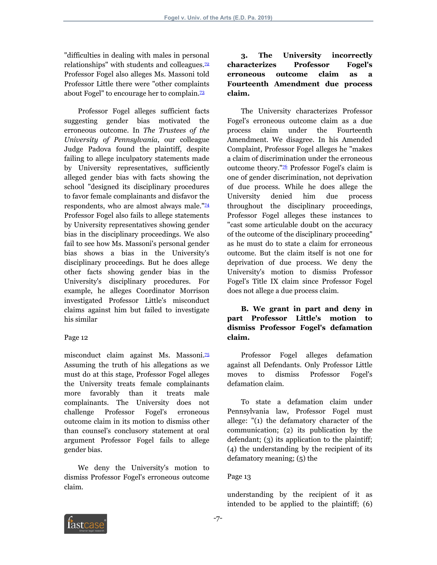"difficulties in dealing with males in personal relationships" with students and colleagues. $\mathbb{Z}^2$ Professor Fogel also alleges Ms. Massoni told Professor Little there were "other complaints about Fogel" to encourage her to complain.<sup>[73](#page-13-9)</sup>

Professor Fogel alleges sufficient facts suggesting gender bias motivated the erroneous outcome. In *The Trustees of the University of Pennsylvania*, our colleague Judge Padova found the plaintiff, despite failing to allege inculpatory statements made by University representatives, sufficiently alleged gender bias with facts showing the school "designed its disciplinary procedures to favor female complainants and disfavor the respondents, who are almost always male."<sup>[74](#page-13-10)</sup> Professor Fogel also fails to allege statements by University representatives showing gender bias in the disciplinary proceedings. We also fail to see how Ms. Massoni's personal gender bias shows a bias in the University's disciplinary proceedings. But he does allege other facts showing gender bias in the University's disciplinary procedures. For example, he alleges Coordinator Morrison investigated Professor Little's misconduct claims against him but failed to investigate his similar

### Page 12

misconduct claim against Ms. Massoni.<sup>[75](#page-13-11)</sup> Assuming the truth of his allegations as we must do at this stage, Professor Fogel alleges the University treats female complainants more favorably than it treats male complainants. The University does not challenge Professor Fogel's erroneous outcome claim in its motion to dismiss other than counsel's conclusory statement at oral argument Professor Fogel fails to allege gender bias.

We deny the University's motion to dismiss Professor Fogel's erroneous outcome claim.

# <span id="page-6-0"></span>**3. The University incorrectly characterizes Professor Fogel's erroneous outcome claim as a Fourteenth Amendment due process claim.**

<span id="page-6-4"></span><span id="page-6-2"></span><span id="page-6-1"></span>The University characterizes Professor Fogel's erroneous outcome claim as a due process claim under the Fourteenth Amendment. We disagree. In his Amended Complaint, Professor Fogel alleges he "makes a claim of discrimination under the erroneous outcome theory."[76](#page-13-12) Professor Fogel's claim is one of gender discrimination, not deprivation of due process. While he does allege the University denied him due process throughout the disciplinary proceedings, Professor Fogel alleges these instances to "cast some articulable doubt on the accuracy of the outcome of the disciplinary proceeding" as he must do to state a claim for erroneous outcome. But the claim itself is not one for deprivation of due process. We deny the University's motion to dismiss Professor Fogel's Title IX claim since Professor Fogel does not allege a due process claim.

# **B. We grant in part and deny in part Professor Little's motion to dismiss Professor Fogel's defamation claim.**

<span id="page-6-3"></span>Professor Fogel alleges defamation against all Defendants. Only Professor Little moves to dismiss Professor Fogel's defamation claim.

To state a defamation claim under Pennsylvania law, Professor Fogel must allege: "(1) the defamatory character of the communication; (2) its publication by the defendant; (3) its application to the plaintiff; (4) the understanding by the recipient of its defamatory meaning; (5) the

# Page 13

understanding by the recipient of it as intended to be applied to the plaintiff; (6)

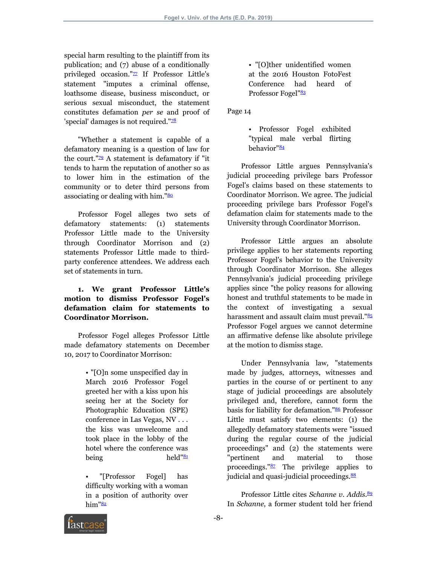<span id="page-7-0"></span>special harm resulting to the plaintiff from its publication; and (7) abuse of a conditionally privileged occasion."<sup>[77](#page-13-13)</sup> If Professor Little's statement "imputes a criminal offense, loathsome disease, business misconduct, or serious sexual misconduct, the statement constitutes defamation *per se* and proof of 'special' damages is not required." $28$ 

<span id="page-7-2"></span>"Whether a statement is capable of a defamatory meaning is a question of law for the court." $29$  A statement is defamatory if "it tends to harm the reputation of another so as to lower him in the estimation of the community or to deter third persons from associating or dealing with him."<sup>[80](#page-13-16)</sup>

Professor Fogel alleges two sets of defamatory statements: (1) statements Professor Little made to the University through Coordinator Morrison and (2) statements Professor Little made to thirdparty conference attendees. We address each set of statements in turn.

# **1. We grant Professor Little's motion to dismiss Professor Fogel's defamation claim for statements to Coordinator Morrison.**

Professor Fogel alleges Professor Little made defamatory statements on December 10, 2017 to Coordinator Morrison:

> • "[O]n some unspecified day in March 2016 Professor Fogel greeted her with a kiss upon his seeing her at the Society for Photographic Education (SPE) conference in Las Vegas, NV . . . the kiss was unwelcome and took place in the lobby of the hotel where the conference was being held"<sup>[81](#page-13-17)</sup>

> <span id="page-7-5"></span>• "[Professor Fogel] has difficulty working with a woman in a position of authority over  $him''<sub>82</sub>$  $him''<sub>82</sub>$  $him''<sub>82</sub>$

<span id="page-7-6"></span>• "[O]ther unidentified women at the 2016 Houston FotoFest Conference had heard of Professor Fogel"<sup>[83](#page-13-19)</sup>

<span id="page-7-1"></span>Page 14

<span id="page-7-7"></span>• Professor Fogel exhibited "typical male verbal flirting behavior"<sup>[84](#page-13-20)</sup>

<span id="page-7-3"></span>Professor Little argues Pennsylvania's judicial proceeding privilege bars Professor Fogel's claims based on these statements to Coordinator Morrison. We agree. The judicial proceeding privilege bars Professor Fogel's defamation claim for statements made to the University through Coordinator Morrison.

Professor Little argues an absolute privilege applies to her statements reporting Professor Fogel's behavior to the University through Coordinator Morrison. She alleges Pennsylvania's judicial proceeding privilege applies since "the policy reasons for allowing honest and truthful statements to be made in the context of investigating a sexual harassment and assault claim must prevail."<sup>[85](#page-13-21)</sup> Professor Fogel argues we cannot determine an affirmative defense like absolute privilege at the motion to dismiss stage.

<span id="page-7-9"></span><span id="page-7-8"></span>Under Pennsylvania law, "statements made by judges, attorneys, witnesses and parties in the course of or pertinent to any stage of judicial proceedings are absolutely privileged and, therefore, cannot form the basis for liability for defamation."[86](#page-13-22) Professor Little must satisfy two elements: (1) the allegedly defamatory statements were "issued during the regular course of the judicial proceedings" and (2) the statements were "pertinent and material to those proceedings."[87](#page-13-23) The privilege applies to judicial and quasi-judicial proceedings.<sup>[88](#page-13-24)</sup>

<span id="page-7-12"></span><span id="page-7-11"></span><span id="page-7-10"></span><span id="page-7-4"></span>Professor Little cites *Schanne v*. *Addis*. [89](#page-13-25) In *Schanne*, a former student told her friend

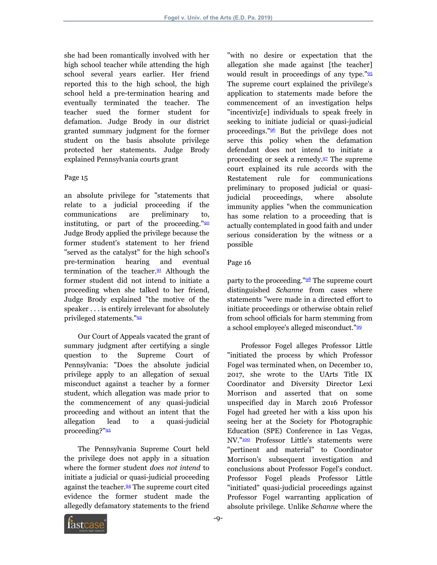she had been romantically involved with her high school teacher while attending the high school several years earlier. Her friend reported this to the high school, the high school held a pre-termination hearing and eventually terminated the teacher. The teacher sued the former student for defamation. Judge Brody in our district granted summary judgment for the former student on the basis absolute privilege protected her statements. Judge Brody explained Pennsylvania courts grant

### Page 15

an absolute privilege for "statements that relate to a judicial proceeding if the communications are preliminary to, instituting, or part of the proceeding." $90$ Judge Brody applied the privilege because the former student's statement to her friend "served as the catalyst" for the high school's pre-termination hearing and eventual termination of the teacher. $91$  Although the former student did not intend to initiate a proceeding when she talked to her friend, Judge Brody explained "the motive of the speaker . . . is entirely irrelevant for absolutely privileged statements."[92](#page-13-28)

<span id="page-8-2"></span>Our Court of Appeals vacated the grant of summary judgment after certifying a single question to the Supreme Court of Pennsylvania: "Does the absolute judicial privilege apply to an allegation of sexual misconduct against a teacher by a former student, which allegation was made prior to the commencement of any quasi-judicial proceeding and without an intent that the allegation lead to a quasi-judicial proceeding?"<sup>[93](#page-13-29)</sup>

<span id="page-8-3"></span>The Pennsylvania Supreme Court held the privilege does not apply in a situation where the former student *does not intend* to initiate a judicial or quasi-judicial proceeding against the teacher.<sup>[94](#page-13-30)</sup> The supreme court cited evidence the former student made the allegedly defamatory statements to the friend <span id="page-8-6"></span><span id="page-8-5"></span>"with no desire or expectation that the allegation she made against [the teacher] would result in proceedings of any type."[95](#page-13-31) The supreme court explained the privilege's application to statements made before the commencement of an investigation helps "incentiviz[e] individuals to speak freely in seeking to initiate judicial or quasi-judicial proceedings."[96](#page-13-32) But the privilege does not serve this policy when the defamation defendant does not intend to initiate a proceeding or seek a remedy.[97](#page-13-33) The supreme court explained its rule accords with the Restatement rule for communications preliminary to proposed judicial or quasijudicial proceedings, where absolute immunity applies "when the communication has some relation to a proceeding that is actually contemplated in good faith and under serious consideration by the witness or a possible

## <span id="page-8-7"></span><span id="page-8-0"></span>Page 16

<span id="page-8-8"></span><span id="page-8-1"></span>party to the proceeding."<sup>[98](#page-13-34)</sup> The supreme court distinguished *Schanne* from cases where statements "were made in a directed effort to initiate proceedings or otherwise obtain relief from school officials for harm stemming from a school employee's alleged misconduct."[99](#page-13-35)

<span id="page-8-10"></span><span id="page-8-9"></span>Professor Fogel alleges Professor Little "initiated the process by which Professor Fogel was terminated when, on December 10, 2017, she wrote to the UArts Title IX Coordinator and Diversity Director Lexi Morrison and asserted that on some unspecified day in March 2016 Professor Fogel had greeted her with a kiss upon his seeing her at the Society for Photographic Education (SPE) Conference in Las Vegas, NV."[100](#page-14-0) Professor Little's statements were "pertinent and material" to Coordinator Morrison's subsequent investigation and conclusions about Professor Fogel's conduct. Professor Fogel pleads Professor Little "initiated" quasi-judicial proceedings against Professor Fogel warranting application of absolute privilege. Unlike *Schanne* where the

<span id="page-8-4"></span>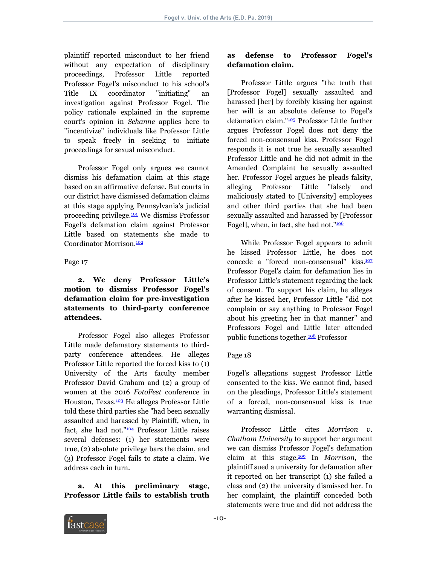plaintiff reported misconduct to her friend without any expectation of disciplinary proceedings, Professor Little reported Professor Fogel's misconduct to his school's Title IX coordinator "initiating" an investigation against Professor Fogel. The policy rationale explained in the supreme court's opinion in *Schanne* applies here to "incentivize" individuals like Professor Little to speak freely in seeking to initiate proceedings for sexual misconduct.

Professor Fogel only argues we cannot dismiss his defamation claim at this stage based on an affirmative defense. But courts in our district have dismissed defamation claims at this stage applying Pennsylvania's judicial proceeding privilege.[101](#page-14-1) We dismiss Professor Fogel's defamation claim against Professor Little based on statements she made to Coordinator Morrison.[102](#page-14-2)

#### <span id="page-9-1"></span><span id="page-9-0"></span>Page 17

## **2. We deny Professor Little's motion to dismiss Professor Fogel's defamation claim for pre-investigation statements to third-party conference attendees.**

<span id="page-9-2"></span>Professor Fogel also alleges Professor Little made defamatory statements to thirdparty conference attendees. He alleges Professor Little reported the forced kiss to (1) University of the Arts faculty member Professor David Graham and (2) a group of women at the 2016 *FotoFest* conference in Houston, Texas.[103](#page-14-3) He alleges Professor Little told these third parties she "had been sexually assaulted and harassed by Plaintiff, when, in fact, she had not."<sup>[104](#page-14-4)</sup> Professor Little raises several defenses: (1) her statements were true, (2) absolute privilege bars the claim, and (3) Professor Fogel fails to state a claim. We address each in turn.

<span id="page-9-3"></span>**a. At this preliminary stage**, **Professor Little fails to establish truth**

# **as defense to Professor Fogel's defamation claim.**

<span id="page-9-4"></span>Professor Little argues "the truth that [Professor Fogel] sexually assaulted and harassed [her] by forcibly kissing her against her will is an absolute defense to Fogel's defamation claim."[105](#page-14-5) Professor Little further argues Professor Fogel does not deny the forced non-consensual kiss. Professor Fogel responds it is not true he sexually assaulted Professor Little and he did not admit in the Amended Complaint he sexually assaulted her. Professor Fogel argues he pleads falsity, alleging Professor Little "falsely and maliciously stated to [University] employees and other third parties that she had been sexually assaulted and harassed by [Professor Fogel], when, in fact, she had not."<sup>[106](#page-14-6)</sup>

<span id="page-9-6"></span><span id="page-9-5"></span>While Professor Fogel appears to admit he kissed Professor Little, he does not concede a "forced non-consensual" kiss.<sup>[107](#page-14-7)</sup> Professor Fogel's claim for defamation lies in Professor Little's statement regarding the lack of consent. To support his claim, he alleges after he kissed her, Professor Little "did not complain or say anything to Professor Fogel about his greeting her in that manner" and Professors Fogel and Little later attended public functions together.<sup>[108](#page-14-8)</sup> Professor

# <span id="page-9-7"></span>Page 18

Fogel's allegations suggest Professor Little consented to the kiss. We cannot find, based on the pleadings, Professor Little's statement of a forced, non-consensual kiss is true warranting dismissal.

<span id="page-9-8"></span>Professor Little cites *Morrison v*. *Chatham University* to support her argument we can dismiss Professor Fogel's defamation claim at this stage.[109](#page-14-9) In *Morrison*, the plaintiff sued a university for defamation after it reported on her transcript (1) she failed a class and (2) the university dismissed her. In her complaint, the plaintiff conceded both statements were true and did not address the

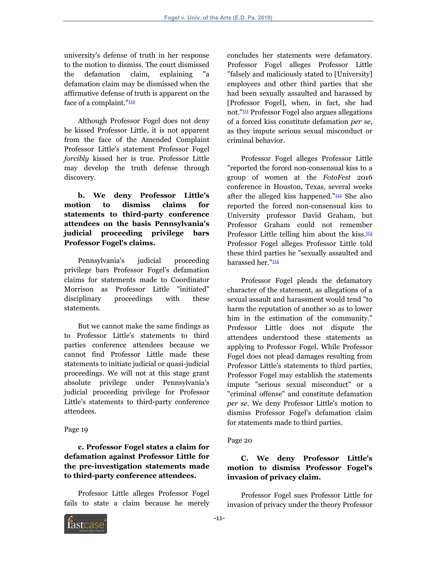university's defense of truth in her response to the motion to dismiss. The court dismissed the defamation claim, explaining "a defamation claim may be dismissed when the affirmative defense of truth is apparent on the face of a complaint."<sup>[110](#page-14-10)</sup>

<span id="page-10-0"></span>Although Professor Fogel does not deny he kissed Professor Little, it is not apparent from the face of the Amended Complaint Professor Little's statement Professor Fogel *forcibly* kissed her is true. Professor Little may develop the truth defense through discovery.

**b. We deny Professor Little's motion to dismiss claims for statements to third-party conference attendees on the basis Pennsylvania's judicial proceeding privilege bars Professor Fogel's claims.**

Pennsylvania's judicial proceeding privilege bars Professor Fogel's defamation claims for statements made to Coordinator Morrison as Professor Little "initiated" disciplinary proceedings with these statements.

But we cannot make the same findings as to Professor Little's statements to third parties conference attendees because we cannot find Professor Little made these statements to initiate judicial or quasi-judicial proceedings. We will not at this stage grant absolute privilege under Pennsylvania's judicial proceeding privilege for Professor Little's statements to third-party conference attendees.

#### Page 19

**c. Professor Fogel states a claim for defamation against Professor Little for the pre-investigation statements made to third-party conference attendees.**

Professor Little alleges Professor Fogel fails to state a claim because he merely concludes her statements were defamatory. Professor Fogel alleges Professor Little "falsely and maliciously stated to [University] employees and other third parties that she had been sexually assaulted and harassed by [Professor Fogel], when, in fact, she had not."[111](#page-14-11) Professor Fogel also argues allegations of a forced kiss constitute defamation *per se*, as they impute serious sexual misconduct or criminal behavior.

<span id="page-10-2"></span><span id="page-10-1"></span>Professor Fogel alleges Professor Little "reported the forced non-consensual kiss to a group of women at the *FotoFest* 2016 conference in Houston, Texas, several weeks after the alleged kiss happened."<sup>[112](#page-14-12)</sup> She also reported the forced non-consensual kiss to University professor David Graham, but Professor Graham could not remember Professor Little telling him about the kiss. $\frac{113}{1}$  $\frac{113}{1}$  $\frac{113}{1}$ Professor Fogel alleges Professor Little told these third parties he "sexually assaulted and harassed her."<sup>[114](#page-14-14)</sup>

<span id="page-10-4"></span><span id="page-10-3"></span>Professor Fogel pleads the defamatory character of the statement, as allegations of a sexual assault and harassment would tend "to harm the reputation of another so as to lower him in the estimation of the community." Professor Little does not dispute the attendees understood these statements as applying to Professor Fogel. While Professor Fogel does not plead damages resulting from Professor Little's statements to third parties, Professor Fogel may establish the statements impute "serious sexual misconduct" or a "criminal offense" and constitute defamation *per se*. We deny Professor Little's motion to dismiss Professor Fogel's defamation claim for statements made to third parties.

#### Page 20

# **C. We deny Professor Little's motion to dismiss Professor Fogel's invasion of privacy claim.**

Professor Fogel sues Professor Little for invasion of privacy under the theory Professor

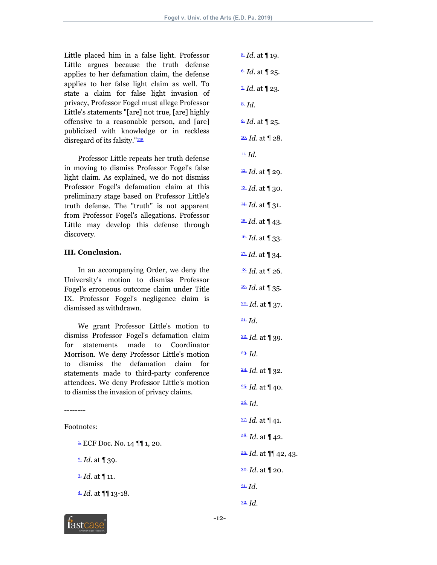Little placed him in a false light. Professor Little argues because the truth defense applies to her defamation claim, the defense applies to her false light claim as well. To state a claim for false light invasion of privacy, Professor Fogel must allege Professor Little's statements "[are] not true, [are] highly offensive to a reasonable person, and [are] publicized with knowledge or in reckless disregard of its falsity." $\frac{115}{115}$  $\frac{115}{115}$  $\frac{115}{115}$ 

<span id="page-11-32"></span>Professor Little repeats her truth defense in moving to dismiss Professor Fogel's false light claim. As explained, we do not dismiss Professor Fogel's defamation claim at this preliminary stage based on Professor Little's truth defense. The "truth" is not apparent from Professor Fogel's allegations. Professor Little may develop this defense through discovery.

#### <span id="page-11-16"></span><span id="page-11-15"></span>**III. Conclusion.**

<span id="page-11-18"></span><span id="page-11-17"></span>In an accompanying Order, we deny the University's motion to dismiss Professor Fogel's erroneous outcome claim under Title IX. Professor Fogel's negligence claim is dismissed as withdrawn.

<span id="page-11-20"></span><span id="page-11-19"></span>We grant Professor Little's motion to dismiss Professor Fogel's defamation claim for statements made to Coordinator Morrison. We deny Professor Little's motion to dismiss the defamation claim for statements made to third-party conference attendees. We deny Professor Little's motion to dismiss the invasion of privacy claims.

Footnotes:

--------

<span id="page-11-0"></span> $\frac{1}{2}$  ECF Doc. No. 14  $\P$  1, 20.

<span id="page-11-1"></span> $\triangleq$  *Id.* at  $\P$  39.

<span id="page-11-2"></span>[3.](#page-1-2) *Id*. at ¶ 11.

<span id="page-11-3"></span>[4.](#page-1-3) *Id*. at ¶¶ 13-18.

- <span id="page-11-14"></span><span id="page-11-13"></span><span id="page-11-12"></span><span id="page-11-11"></span><span id="page-11-10"></span><span id="page-11-9"></span><span id="page-11-8"></span><span id="page-11-7"></span><span id="page-11-6"></span><span id="page-11-5"></span><span id="page-11-4"></span>[5.](#page-1-4) *Id*. at ¶ 19. [6.](#page-1-5) *Id*. at ¶ 25.  $\overline{2}$ *Id.* at  $\P$  23. [8.](#page-1-7) *Id*. [9.](#page-1-8) *Id*. at ¶ 25. [10.](#page-1-9) *Id*. at ¶ 28. [11.](#page-1-10) *Id*. [12.](#page-1-11) *Id*. at ¶ 29.  $\frac{13}{2}$  *Id.* at 1 30.  $\frac{14}{14}$  *Id.* at 131. [15.](#page-2-1) *Id*. at ¶ 43. [16.](#page-2-2) *Id*. at ¶ 33. [17.](#page-2-3) *Id*. at ¶ 34. [18.](#page-2-4) *Id*. at ¶ 26. [19.](#page-2-5) *Id*. at ¶ 35. [20.](#page-2-6) *Id*. at ¶ 37. [21.](#page-2-7) *Id*. [22.](#page-2-8) *Id*. at ¶ 39. [23.](#page-2-9) *Id*. [24.](#page-2-10) *Id*. at ¶ 32. [25.](#page-2-11) *Id*. at ¶ 40. [26.](#page-2-12) *Id*. [27.](#page-2-13) *Id*. at ¶ 41. [28.](#page-2-14) *Id*. at ¶ 42. [29.](#page-2-15) *Id*. at ¶¶ 42, 43. [30.](#page-3-0) *Id*. at ¶ 20. [31.](#page-3-1) *Id*.
- <span id="page-11-31"></span><span id="page-11-30"></span><span id="page-11-29"></span><span id="page-11-28"></span><span id="page-11-27"></span><span id="page-11-26"></span><span id="page-11-25"></span><span id="page-11-24"></span><span id="page-11-23"></span><span id="page-11-22"></span><span id="page-11-21"></span>[32.](#page-3-2) *Id*.

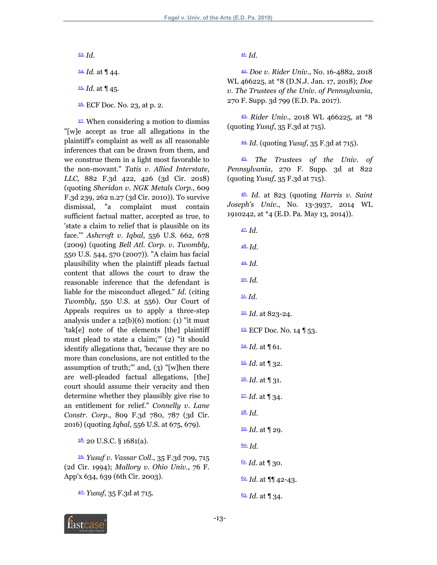<span id="page-12-0"></span>[33.](#page-3-3) *Id*.

<span id="page-12-1"></span>[34.](#page-3-4) *Id*. at ¶ 44.

<span id="page-12-2"></span>[35.](#page-3-5) *Id*. at ¶ 45.

<span id="page-12-3"></span>[36.](#page-3-6) ECF Doc. No. 23, at p. 2.

<span id="page-12-4"></span>[37.](#page-3-7) When considering a motion to dismiss "[w]e accept as true all allegations in the plaintiff's complaint as well as all reasonable inferences that can be drawn from them, and we construe them in a light most favorable to the non-movant." *Tatis v*. *Allied Interstate*, *LLC*, 882 F.3d 422, 426 (3d Cir. 2018) (quoting *Sheridan v*. *NGK Metals Corp*., 609 F.3d 239, 262 n.27 (3d Cir. 2010)). To survive dismissal, "a complaint must contain sufficient factual matter, accepted as true, to 'state a claim to relief that is plausible on its face.'" *Ashcroft v*. *Iqbal*, 556 U.S. 662, 678 (2009) (quoting *Bell Atl*. *Corp*. *v*. *Twombly*, 550 U.S. 544, 570 (2007)). "A claim has facial plausibility when the plaintiff pleads factual content that allows the court to draw the reasonable inference that the defendant is liable for the misconduct alleged." *Id*. (citing *Twombly*, 550 U.S. at 556). Our Court of Appeals requires us to apply a three-step analysis under a  $12(b)(6)$  motion: (1) "it must 'tak[e] note of the elements [the] plaintiff must plead to state a claim;'" (2) "it should identify allegations that, 'because they are no more than conclusions, are not entitled to the assumption of truth;" and,  $(3)$  "[w]hen there are well-pleaded factual allegations, [the] court should assume their veracity and then determine whether they plausibly give rise to an entitlement for relief." *Connelly v*. *Lane Constr*. *Corp*., 809 F.3d 780, 787 (3d Cir. 2016) (quoting *Iqbal*, 556 U.S. at 675, 679).

<span id="page-12-28"></span><span id="page-12-27"></span><span id="page-12-26"></span><span id="page-12-25"></span><span id="page-12-5"></span> $38.20$  $38.20$  U.S.C. § 1681(a).

<span id="page-12-6"></span>[39.](#page-3-9) *Yusuf v*. *Vassar Coll*., 35 F.3d 709, 715 (2d Cir. 1994); *Mallory v*. *Ohio Univ*., 76 F. App'x 634, 639 (6th Cir. 2003).

<span id="page-12-30"></span><span id="page-12-29"></span><span id="page-12-7"></span>[40.](#page-3-10) *Yusuf*, 35 F.3d at 715.

<span id="page-12-8"></span>[41.](#page-3-11) *Id*.

<span id="page-12-9"></span>[42.](#page-3-12) *Doe v*. *Rider Univ*., No. 16-4882, 2018 WL 466225, at \*8 (D.N.J. Jan. 17, 2018); *Doe v*. *The Trustees of the Univ*. *of Pennsylvania*, 270 F. Supp. 3d 799 (E.D. Pa. 2017).

<span id="page-12-10"></span>[43.](#page-4-0) *Rider Univ*., 2018 WL 466225, at \*8 (quoting *Yusuf*, 35 F.3d at 715).

<span id="page-12-11"></span>[44.](#page-4-1) *Id*. (quoting *Yusuf*, 35 F.3d at 715).

<span id="page-12-12"></span>[45.](#page-4-2) *The Trustees of the Univ*. *of Pennsylvania*, 270 F. Supp. 3d at 822 (quoting *Yusuf*, 35 F.3d at 715).

<span id="page-12-13"></span>[46.](#page-4-3) *Id*. at 823 (quoting *Harris v*. *Saint Joseph's Univ*., No. 13-3937, 2014 WL 1910242, at \*4 (E.D. Pa. May 13, 2014)).

<span id="page-12-24"></span><span id="page-12-23"></span><span id="page-12-22"></span><span id="page-12-21"></span><span id="page-12-20"></span><span id="page-12-19"></span><span id="page-12-18"></span><span id="page-12-17"></span><span id="page-12-16"></span><span id="page-12-15"></span><span id="page-12-14"></span>[47.](#page-4-4) *Id*. [48.](#page-4-5) *Id*. [49.](#page-4-6) *Id*. [50.](#page-4-7) *Id*. [51.](#page-4-8) *Id*. [52.](#page-4-9) *Id*. at 823-24. [53.](#page-4-10) ECF Doc. No. 14 | 53.  $54.$  *Id.* at  $\P$  61. [55.](#page-5-0) *Id*. at ¶ 32. [56.](#page-5-1) *Id*. at ¶ 31. [57.](#page-5-2) *Id*. at ¶ 34. [58.](#page-5-3) *Id*. [59.](#page-5-4) *Id*. at ¶ 29. [60.](#page-5-5) *Id*. [61.](#page-5-6) *Id*. at ¶ 30. [62.](#page-5-7) *Id*. at ¶¶ 42-43. [63.](#page-5-8) *Id*. at ¶ 34.

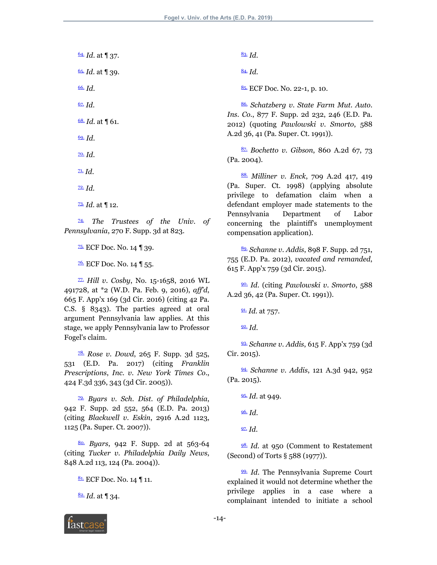<span id="page-13-5"></span><span id="page-13-4"></span><span id="page-13-3"></span><span id="page-13-2"></span><span id="page-13-1"></span><span id="page-13-0"></span>[64.](#page-5-9) *Id*. at ¶ 37. [65.](#page-5-10) *Id*. at ¶ 39. [66.](#page-5-11) *Id*. [67.](#page-5-12) *Id*. [68.](#page-5-13) *Id*. at ¶ 61. [69.](#page-5-14) *Id*. [70.](#page-5-15) *Id*. [71.](#page-5-16) *Id*. [72.](#page-6-0) *Id*. [73.](#page-6-1) *Id*. at ¶ 12.

<span id="page-13-10"></span><span id="page-13-9"></span><span id="page-13-8"></span><span id="page-13-7"></span><span id="page-13-6"></span>[74.](#page-6-2) *The Trustees of the Univ*. *of Pennsylvania*, 270 F. Supp. 3d at 823.

<span id="page-13-11"></span>[75.](#page-6-3) ECF Doc. No. 14 ¶ 39.

<span id="page-13-12"></span> $\frac{76}{10}$  ECF Doc. No. 14 | 55.

<span id="page-13-13"></span>[77.](#page-7-0) *Hill v*. *Cosby*, No. 15-1658, 2016 WL 491728, at \*2 (W.D. Pa. Feb. 9, 2016), *aff'd*, 665 F. App'x 169 (3d Cir. 2016) (citing 42 Pa. C.S. § 8343). The parties agreed at oral argument Pennsylvania law applies. At this stage, we apply Pennsylvania law to Professor Fogel's claim.

<span id="page-13-14"></span>[78.](#page-7-1) *Rose v*. *Dowd*, 265 F. Supp. 3d 525, 531 (E.D. Pa. 2017) (citing *Franklin Prescriptions*, *Inc*. *v*. *New York Times Co*., 424 F.3d 336, 343 (3d Cir. 2005)).

<span id="page-13-15"></span>[79.](#page-7-2) *Byars v*. *Sch*. *Dist*. *of Philadelphia*, 942 F. Supp. 2d 552, 564 (E.D. Pa. 2013) (citing *Blackwell v*. *Eskin*, 2916 A.2d 1123, 1125 (Pa. Super. Ct. 2007)).

<span id="page-13-16"></span>[80.](#page-7-3) *Byars*, 942 F. Supp. 2d at 563-64 (citing *Tucker v*. *Philadelphia Daily News*, 848 A.2d 113, 124 (Pa. 2004)).

<span id="page-13-17"></span>8<sup>1</sup>. ECF Doc. No. 14 | 11.

<span id="page-13-18"></span> $\frac{82}{6}$  *Id.* at **1** 34.

<span id="page-13-19"></span>[83.](#page-7-6) *Id*.

<span id="page-13-20"></span>[84.](#page-7-7) *Id*.

<span id="page-13-21"></span>[85.](#page-7-8) ECF Doc. No. 22-1, p. 10.

<span id="page-13-22"></span>[86.](#page-7-9) *Schatzberg v*. *State Farm Mut*. *Auto*. *Ins*. *Co*., 877 F. Supp. 2d 232, 246 (E.D. Pa. 2012) (quoting *Pawlowski v*. *Smorto*, 588 A.2d 36, 41 (Pa. Super. Ct. 1991)).

<span id="page-13-23"></span>[87.](#page-7-10) *Bochetto v*. *Gibson*, 860 A.2d 67, 73 (Pa. 2004).

<span id="page-13-24"></span>[88.](#page-7-11) *Milliner v*. *Enck*, 709 A.2d 417, 419 (Pa. Super. Ct. 1998) (applying absolute privilege to defamation claim when a defendant employer made statements to the Pennsylvania Department of Labor concerning the plaintiff's unemployment compensation application).

<span id="page-13-25"></span>[89.](#page-7-12) *Schanne v*. *Addis*, 898 F. Supp. 2d 751, 755 (E.D. Pa. 2012), *vacated and remanded*, 615 F. App'x 759 (3d Cir. 2015).

<span id="page-13-26"></span>[90.](#page-8-0) *Id*. (citing *Pawlowski v*. *Smorto*, 588 A.2d 36, 42 (Pa. Super. Ct. 1991)).

<span id="page-13-27"></span>[91.](#page-8-1) *Id*. at 757.

<span id="page-13-28"></span>[92.](#page-8-2) *Id*.

<span id="page-13-29"></span>[93.](#page-8-3) *Schanne v*. *Addis*, 615 F. App'x 759 (3d Cir. 2015).

<span id="page-13-30"></span>[94.](#page-8-4) *Schanne v*. *Addis*, 121 A.3d 942, 952 (Pa. 2015).

<span id="page-13-31"></span>[95.](#page-8-5) *Id*. at 949.

<span id="page-13-32"></span>[96.](#page-8-6) *Id*.

<span id="page-13-33"></span>[97.](#page-8-7) *Id*.

<span id="page-13-34"></span>[98.](#page-8-8) *Id*. at 950 (Comment to Restatement (Second) of Torts § 588 (1977)).

<span id="page-13-35"></span>[99.](#page-8-9) *Id*. The Pennsylvania Supreme Court explained it would not determine whether the privilege applies in a case where a complainant intended to initiate a school